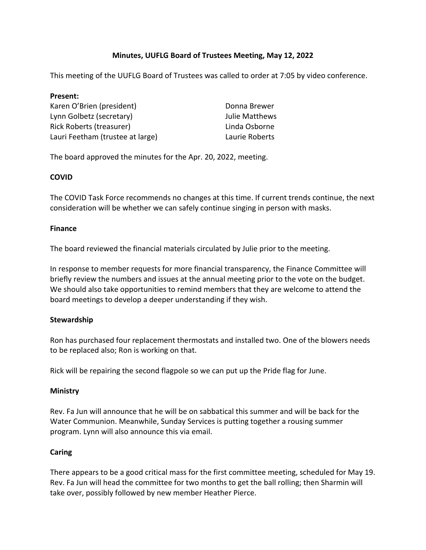# **Minutes, UUFLG Board of Trustees Meeting, May 12, 2022**

This meeting of the UUFLG Board of Trustees was called to order at 7:05 by video conference.

| Present:                         |                |
|----------------------------------|----------------|
| Karen O'Brien (president)        | Donna Brewer   |
| Lynn Golbetz (secretary)         | Julie Matthews |
| Rick Roberts (treasurer)         | Linda Osborne  |
| Lauri Feetham (trustee at large) | Laurie Roberts |

The board approved the minutes for the Apr. 20, 2022, meeting.

# **COVID**

The COVID Task Force recommends no changes at this time. If current trends continue, the next consideration will be whether we can safely continue singing in person with masks.

# **Finance**

The board reviewed the financial materials circulated by Julie prior to the meeting.

In response to member requests for more financial transparency, the Finance Committee will briefly review the numbers and issues at the annual meeting prior to the vote on the budget. We should also take opportunities to remind members that they are welcome to attend the board meetings to develop a deeper understanding if they wish.

# **Stewardship**

Ron has purchased four replacement thermostats and installed two. One of the blowers needs to be replaced also; Ron is working on that.

Rick will be repairing the second flagpole so we can put up the Pride flag for June.

# **Ministry**

Rev. Fa Jun will announce that he will be on sabbatical this summer and will be back for the Water Communion. Meanwhile, Sunday Services is putting together a rousing summer program. Lynn will also announce this via email.

# **Caring**

There appears to be a good critical mass for the first committee meeting, scheduled for May 19. Rev. Fa Jun will head the committee for two months to get the ball rolling; then Sharmin will take over, possibly followed by new member Heather Pierce.